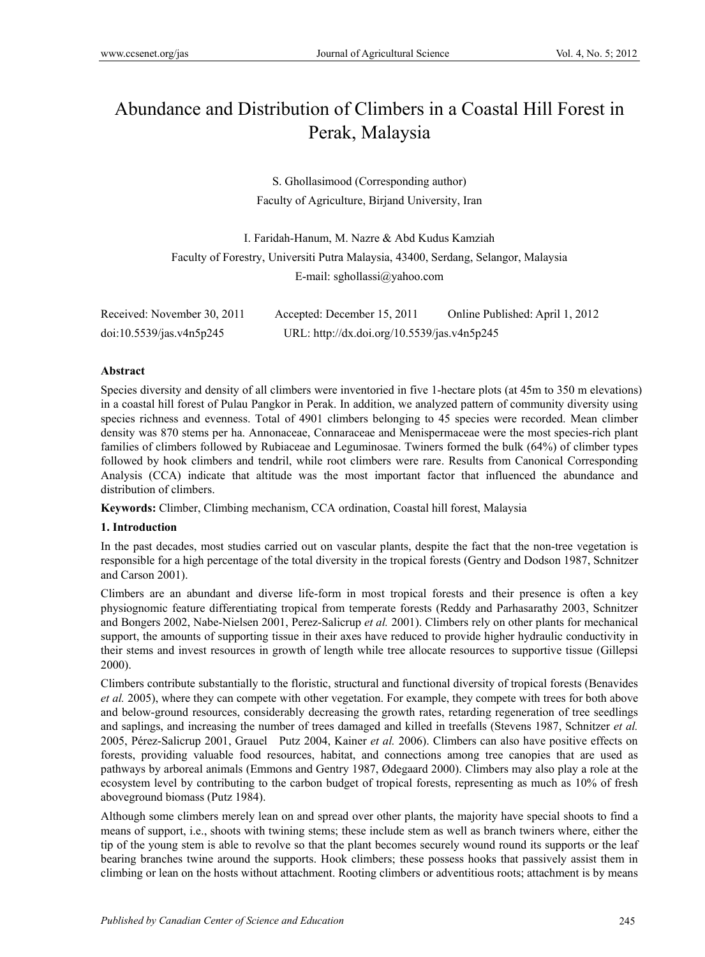# Abundance and Distribution of Climbers in a Coastal Hill Forest in Perak, Malaysia

S. Ghollasimood (Corresponding author) Faculty of Agriculture, Birjand University, Iran

I. Faridah-Hanum, M. Nazre & Abd Kudus Kamziah Faculty of Forestry, Universiti Putra Malaysia, 43400, Serdang, Selangor, Malaysia E-mail: sghollassi@yahoo.com

| Received: November 30, 2011 | Accepted: December 15, 2011                 | Online Published: April 1, 2012 |
|-----------------------------|---------------------------------------------|---------------------------------|
| doi:10.5539/jas.v4n5p245    | URL: http://dx.doi.org/10.5539/jas.v4n5p245 |                                 |

## **Abstract**

Species diversity and density of all climbers were inventoried in five 1-hectare plots (at 45m to 350 m elevations) in a coastal hill forest of Pulau Pangkor in Perak. In addition, we analyzed pattern of community diversity using species richness and evenness. Total of 4901 climbers belonging to 45 species were recorded. Mean climber density was 870 stems per ha. Annonaceae, Connaraceae and Menispermaceae were the most species-rich plant families of climbers followed by Rubiaceae and Leguminosae. Twiners formed the bulk (64%) of climber types followed by hook climbers and tendril, while root climbers were rare. Results from Canonical Corresponding Analysis (CCA) indicate that altitude was the most important factor that influenced the abundance and distribution of climbers.

**Keywords:** Climber, Climbing mechanism, CCA ordination, Coastal hill forest, Malaysia

## **1. Introduction**

In the past decades, most studies carried out on vascular plants, despite the fact that the non-tree vegetation is responsible for a high percentage of the total diversity in the tropical forests (Gentry and Dodson 1987, Schnitzer and Carson 2001).

Climbers are an abundant and diverse life-form in most tropical forests and their presence is often a key physiognomic feature differentiating tropical from temperate forests (Reddy and Parhasarathy 2003, Schnitzer and Bongers 2002, Nabe-Nielsen 2001, Perez-Salicrup *et al.* 2001). Climbers rely on other plants for mechanical support, the amounts of supporting tissue in their axes have reduced to provide higher hydraulic conductivity in their stems and invest resources in growth of length while tree allocate resources to supportive tissue (Gillepsi 2000).

Climbers contribute substantially to the floristic, structural and functional diversity of tropical forests (Benavides *et al.* 2005), where they can compete with other vegetation. For example, they compete with trees for both above and below-ground resources, considerably decreasing the growth rates, retarding regeneration of tree seedlings and saplings, and increasing the number of trees damaged and killed in treefalls (Stevens 1987, Schnitzer *et al.* 2005, Pérez-Salicrup 2001, Grauel Putz 2004, Kainer *et al.* 2006). Climbers can also have positive effects on forests, providing valuable food resources, habitat, and connections among tree canopies that are used as pathways by arboreal animals (Emmons and Gentry 1987, Ødegaard 2000). Climbers may also play a role at the ecosystem level by contributing to the carbon budget of tropical forests, representing as much as 10% of fresh aboveground biomass (Putz 1984).

Although some climbers merely lean on and spread over other plants, the majority have special shoots to find a means of support, i.e., shoots with twining stems; these include stem as well as branch twiners where, either the tip of the young stem is able to revolve so that the plant becomes securely wound round its supports or the leaf bearing branches twine around the supports. Hook climbers; these possess hooks that passively assist them in climbing or lean on the hosts without attachment. Rooting climbers or adventitious roots; attachment is by means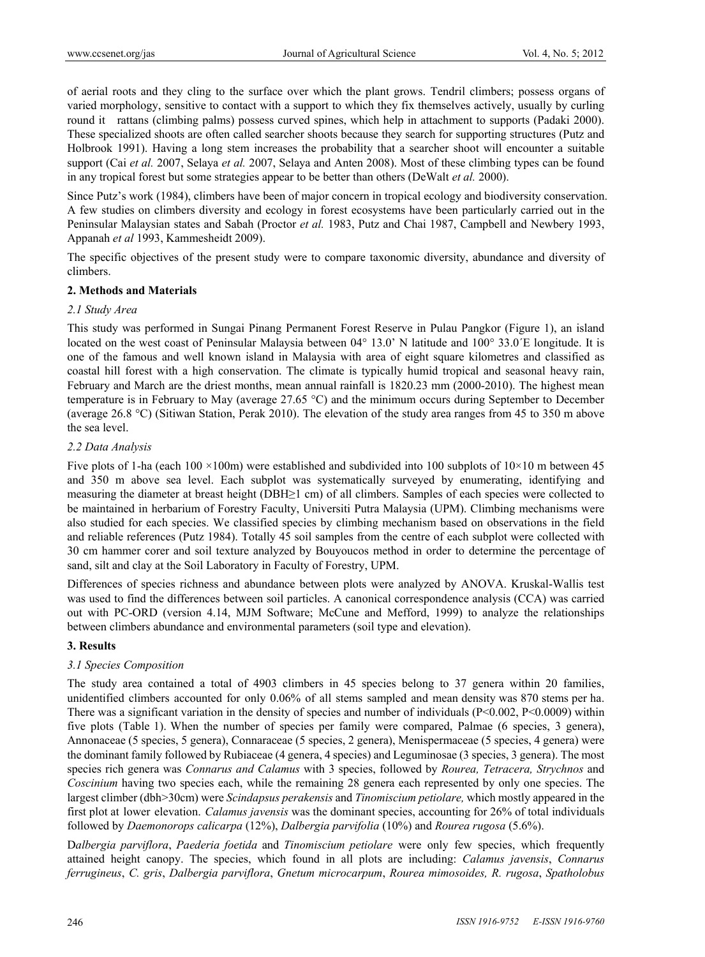of aerial roots and they cling to the surface over which the plant grows. Tendril climbers; possess organs of varied morphology, sensitive to contact with a support to which they fix themselves actively, usually by curling round it rattans (climbing palms) possess curved spines, which help in attachment to supports (Padaki 2000). These specialized shoots are often called searcher shoots because they search for supporting structures (Putz and Holbrook 1991). Having a long stem increases the probability that a searcher shoot will encounter a suitable support (Cai *et al.* 2007, Selaya *et al.* 2007, Selaya and Anten 2008). Most of these climbing types can be found in any tropical forest but some strategies appear to be better than others (DeWalt *et al.* 2000).

Since Putz's work (1984), climbers have been of major concern in tropical ecology and biodiversity conservation. A few studies on climbers diversity and ecology in forest ecosystems have been particularly carried out in the Peninsular Malaysian states and Sabah (Proctor *et al.* 1983, Putz and Chai 1987, Campbell and Newbery 1993, Appanah *et al* 1993, Kammesheidt 2009).

The specific objectives of the present study were to compare taxonomic diversity, abundance and diversity of climbers.

# **2. Methods and Materials**

## *2.1 Study Area*

This study was performed in Sungai Pinang Permanent Forest Reserve in Pulau Pangkor (Figure 1), an island located on the west coast of Peninsular Malaysia between 04° 13.0' N latitude and 100° 33.0<sup>'</sup>E longitude. It is one of the famous and well known island in Malaysia with area of eight square kilometres and classified as coastal hill forest with a high conservation. The climate is typically humid tropical and seasonal heavy rain, February and March are the driest months, mean annual rainfall is 1820.23 mm (2000-2010). The highest mean temperature is in February to May (average 27.65 °C) and the minimum occurs during September to December (average 26.8 °C) (Sitiwan Station, Perak 2010). The elevation of the study area ranges from 45 to 350 m above the sea level.

## *2.2 Data Analysis*

Five plots of 1-ha (each 100 ×100m) were established and subdivided into 100 subplots of  $10\times10$  m between 45 and 350 m above sea level. Each subplot was systematically surveyed by enumerating, identifying and measuring the diameter at breast height (DBH≥1 cm) of all climbers. Samples of each species were collected to be maintained in herbarium of Forestry Faculty, Universiti Putra Malaysia (UPM). Climbing mechanisms were also studied for each species. We classified species by climbing mechanism based on observations in the field and reliable references (Putz 1984). Totally 45 soil samples from the centre of each subplot were collected with 30 cm hammer corer and soil texture analyzed by Bouyoucos method in order to determine the percentage of sand, silt and clay at the Soil Laboratory in Faculty of Forestry, UPM.

Differences of species richness and abundance between plots were analyzed by ANOVA. Kruskal-Wallis test was used to find the differences between soil particles. A canonical correspondence analysis (CCA) was carried out with PC-ORD (version 4.14, MJM Software; McCune and Mefford, 1999) to analyze the relationships between climbers abundance and environmental parameters (soil type and elevation).

# **3. Results**

# *3.1 Species Composition*

The study area contained a total of 4903 climbers in 45 species belong to 37 genera within 20 families, unidentified climbers accounted for only 0.06% of all stems sampled and mean density was 870 stems per ha. There was a significant variation in the density of species and number of individuals (P<0.002, P<0.0009) within five plots (Table 1). When the number of species per family were compared, Palmae (6 species, 3 genera), Annonaceae (5 species, 5 genera), Connaraceae (5 species, 2 genera), Menispermaceae (5 species, 4 genera) were the dominant family followed by Rubiaceae (4 genera, 4 species) and Leguminosae (3 species, 3 genera). The most species rich genera was *Connarus and Calamus* with 3 species, followed by *Rourea, Tetracera, Strychnos* and *Coscinium* having two species each, while the remaining 28 genera each represented by only one species. The largest climber (dbh>30cm) were *Scindapsus perakensis* and *Tinomiscium petiolare,* which mostly appeared in the first plot at lower elevation. *Calamus javensis* was the dominant species, accounting for 26% of total individuals followed by *Daemonorops calicarpa* (12%), *Dalbergia parvifolia* (10%) and *Rourea rugosa* (5.6%).

D*albergia parviflora*, *Paederia foetida* and *Tinomiscium petiolare* were only few species, which frequently attained height canopy. The species, which found in all plots are including: *Calamus javensis*, *Connarus ferrugineus*, *C. gris*, *Dalbergia parviflora*, *Gnetum microcarpum*, *Rourea mimosoides, R. rugosa*, *Spatholobus*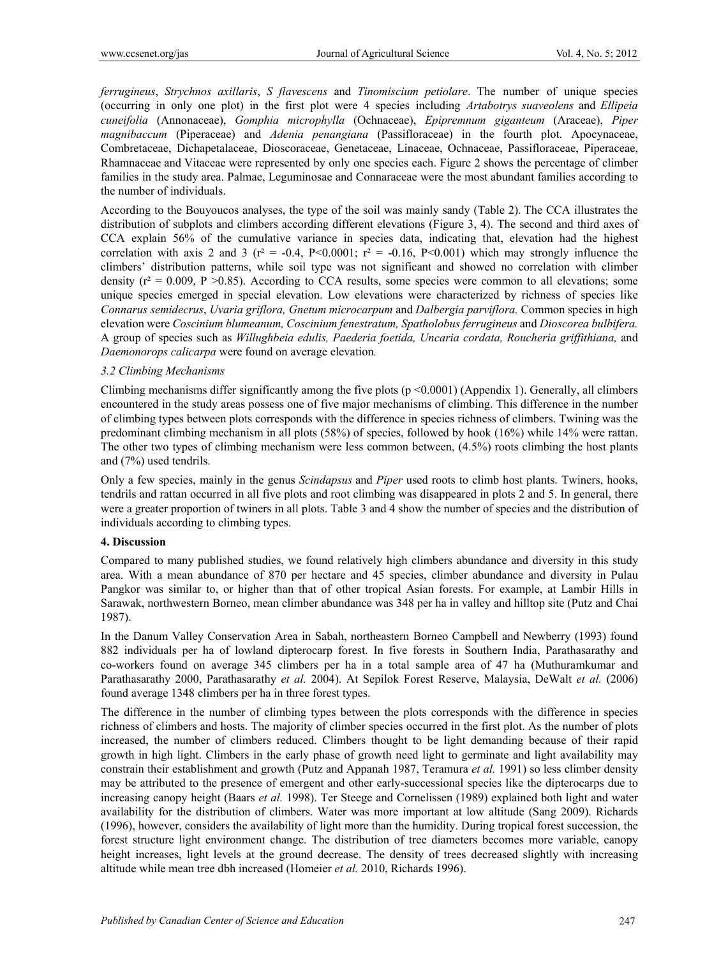*ferrugineus*, *Strychnos axillaris*, *S flavescens* and *Tinomiscium petiolare*. The number of unique species (occurring in only one plot) in the first plot were 4 species including *Artabotrys suaveolens* and *Ellipeia cuneifolia* (Annonaceae), *Gomphia microphylla* (Ochnaceae), *Epipremnum giganteum* (Araceae), *Piper magnibaccum* (Piperaceae) and *Adenia penangiana* (Passifloraceae) in the fourth plot. Apocynaceae, Combretaceae, Dichapetalaceae, Dioscoraceae, Genetaceae, Linaceae, Ochnaceae, Passifloraceae, Piperaceae, Rhamnaceae and Vitaceae were represented by only one species each. Figure 2 shows the percentage of climber families in the study area. Palmae, Leguminosae and Connaraceae were the most abundant families according to the number of individuals.

According to the Bouyoucos analyses, the type of the soil was mainly sandy (Table 2). The CCA illustrates the distribution of subplots and climbers according different elevations (Figure 3, 4). The second and third axes of CCA explain 56% of the cumulative variance in species data, indicating that, elevation had the highest correlation with axis 2 and 3 ( $r^2 = -0.4$ , P<0.0001;  $r^2 = -0.16$ , P<0.001) which may strongly influence the climbers' distribution patterns, while soil type was not significant and showed no correlation with climber density  $(r^2 = 0.009, P > 0.85)$ . According to CCA results, some species were common to all elevations; some unique species emerged in special elevation. Low elevations were characterized by richness of species like *Connarus semidecrus*, *Uvaria griflora, Gnetum microcarpum* and *Dalbergia parviflora.* Common species in high elevation were *Coscinium blumeanum, Coscinium fenestratum, Spatholobus ferrugineus* and *Dioscorea bulbifera.*  A group of species such as *Willughbeia edulis, Paederia foetida, Uncaria cordata, Roucheria griffithiana,* and *Daemonorops calicarpa* were found on average elevation*.* 

## *3.2 Climbing Mechanisms*

Climbing mechanisms differ significantly among the five plots ( $p \le 0.0001$ ) (Appendix 1). Generally, all climbers encountered in the study areas possess one of five major mechanisms of climbing. This difference in the number of climbing types between plots corresponds with the difference in species richness of climbers. Twining was the predominant climbing mechanism in all plots (58%) of species, followed by hook (16%) while 14% were rattan. The other two types of climbing mechanism were less common between, (4.5%) roots climbing the host plants and (7%) used tendrils.

Only a few species, mainly in the genus *Scindapsus* and *Piper* used roots to climb host plants. Twiners, hooks, tendrils and rattan occurred in all five plots and root climbing was disappeared in plots 2 and 5. In general, there were a greater proportion of twiners in all plots. Table 3 and 4 show the number of species and the distribution of individuals according to climbing types.

## **4. Discussion**

Compared to many published studies, we found relatively high climbers abundance and diversity in this study area. With a mean abundance of 870 per hectare and 45 species, climber abundance and diversity in Pulau Pangkor was similar to, or higher than that of other tropical Asian forests. For example, at Lambir Hills in Sarawak, northwestern Borneo, mean climber abundance was 348 per ha in valley and hilltop site (Putz and Chai 1987).

In the Danum Valley Conservation Area in Sabah, northeastern Borneo Campbell and Newberry (1993) found 882 individuals per ha of lowland dipterocarp forest. In five forests in Southern India, Parathasarathy and co-workers found on average 345 climbers per ha in a total sample area of 47 ha (Muthuramkumar and Parathasarathy 2000, Parathasarathy *et al.* 2004). At Sepilok Forest Reserve, Malaysia, DeWalt *et al.* (2006) found average 1348 climbers per ha in three forest types.

The difference in the number of climbing types between the plots corresponds with the difference in species richness of climbers and hosts. The majority of climber species occurred in the first plot. As the number of plots increased, the number of climbers reduced. Climbers thought to be light demanding because of their rapid growth in high light. Climbers in the early phase of growth need light to germinate and light availability may constrain their establishment and growth (Putz and Appanah 1987, Teramura *et al.* 1991) so less climber density may be attributed to the presence of emergent and other early-successional species like the dipterocarps due to increasing canopy height (Baars *et al.* 1998). Ter Steege and Cornelissen (1989) explained both light and water availability for the distribution of climbers. Water was more important at low altitude (Sang 2009). Richards (1996), however, considers the availability of light more than the humidity. During tropical forest succession, the forest structure light environment change. The distribution of tree diameters becomes more variable, canopy height increases, light levels at the ground decrease. The density of trees decreased slightly with increasing altitude while mean tree dbh increased (Homeier *et al.* 2010, Richards 1996).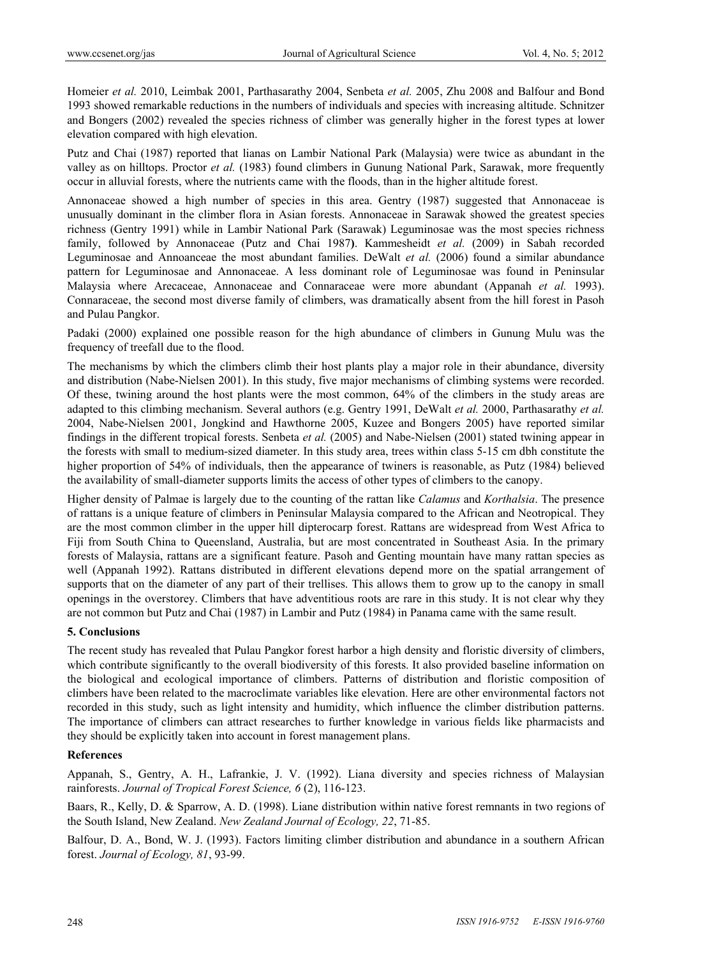Homeier *et al.* 2010, Leimbak 2001, Parthasarathy 2004, Senbeta *et al.* 2005, Zhu 2008 and Balfour and Bond 1993 showed remarkable reductions in the numbers of individuals and species with increasing altitude. Schnitzer and Bongers (2002) revealed the species richness of climber was generally higher in the forest types at lower elevation compared with high elevation.

Putz and Chai (1987) reported that lianas on Lambir National Park (Malaysia) were twice as abundant in the valley as on hilltops. Proctor *et al.* (1983) found climbers in Gunung National Park, Sarawak, more frequently occur in alluvial forests, where the nutrients came with the floods, than in the higher altitude forest.

Annonaceae showed a high number of species in this area. Gentry (1987) suggested that Annonaceae is unusually dominant in the climber flora in Asian forests. Annonaceae in Sarawak showed the greatest species richness (Gentry 1991) while in Lambir National Park (Sarawak) Leguminosae was the most species richness family, followed by Annonaceae (Putz and Chai 1987**)**. Kammesheidt *et al.* (2009) in Sabah recorded Leguminosae and Annoanceae the most abundant families. DeWalt *et al.* (2006) found a similar abundance pattern for Leguminosae and Annonaceae. A less dominant role of Leguminosae was found in Peninsular Malaysia where Arecaceae, Annonaceae and Connaraceae were more abundant (Appanah *et al.* 1993). Connaraceae, the second most diverse family of climbers, was dramatically absent from the hill forest in Pasoh and Pulau Pangkor.

Padaki (2000) explained one possible reason for the high abundance of climbers in Gunung Mulu was the frequency of treefall due to the flood.

The mechanisms by which the climbers climb their host plants play a major role in their abundance, diversity and distribution (Nabe-Nielsen 2001). In this study, five major mechanisms of climbing systems were recorded. Of these, twining around the host plants were the most common, 64% of the climbers in the study areas are adapted to this climbing mechanism. Several authors (e.g. Gentry 1991, DeWalt *et al.* 2000, Parthasarathy *et al.* 2004, Nabe-Nielsen 2001, Jongkind and Hawthorne 2005, Kuzee and Bongers 2005) have reported similar findings in the different tropical forests. Senbeta *et al.* (2005) and Nabe-Nielsen (2001) stated twining appear in the forests with small to medium-sized diameter. In this study area, trees within class 5-15 cm dbh constitute the higher proportion of 54% of individuals, then the appearance of twiners is reasonable, as Putz (1984) believed the availability of small-diameter supports limits the access of other types of climbers to the canopy.

Higher density of Palmae is largely due to the counting of the rattan like *Calamus* and *Korthalsia*. The presence of rattans is a unique feature of climbers in Peninsular Malaysia compared to the African and Neotropical. They are the most common climber in the upper hill dipterocarp forest. Rattans are widespread from West Africa to Fiji from South China to Queensland, Australia, but are most concentrated in Southeast Asia. In the primary forests of Malaysia, rattans are a significant feature. Pasoh and Genting mountain have many rattan species as well (Appanah 1992). Rattans distributed in different elevations depend more on the spatial arrangement of supports that on the diameter of any part of their trellises. This allows them to grow up to the canopy in small openings in the overstorey. Climbers that have adventitious roots are rare in this study. It is not clear why they are not common but Putz and Chai (1987) in Lambir and Putz (1984) in Panama came with the same result.

## **5. Conclusions**

The recent study has revealed that Pulau Pangkor forest harbor a high density and floristic diversity of climbers, which contribute significantly to the overall biodiversity of this forests. It also provided baseline information on the biological and ecological importance of climbers. Patterns of distribution and floristic composition of climbers have been related to the macroclimate variables like elevation. Here are other environmental factors not recorded in this study, such as light intensity and humidity, which influence the climber distribution patterns. The importance of climbers can attract researches to further knowledge in various fields like pharmacists and they should be explicitly taken into account in forest management plans.

## **References**

Appanah, S., Gentry, A. H., Lafrankie, J. V. (1992). Liana diversity and species richness of Malaysian rainforests. *Journal of Tropical Forest Science, 6* (2), 116-123.

Baars, R., Kelly, D. & Sparrow, A. D. (1998). Liane distribution within native forest remnants in two regions of the South Island, New Zealand. *New Zealand Journal of Ecology, 22*, 71-85.

Balfour, D. A., Bond, W. J. (1993). Factors limiting climber distribution and abundance in a southern African forest. *Journal of Ecology, 81*, 93-99.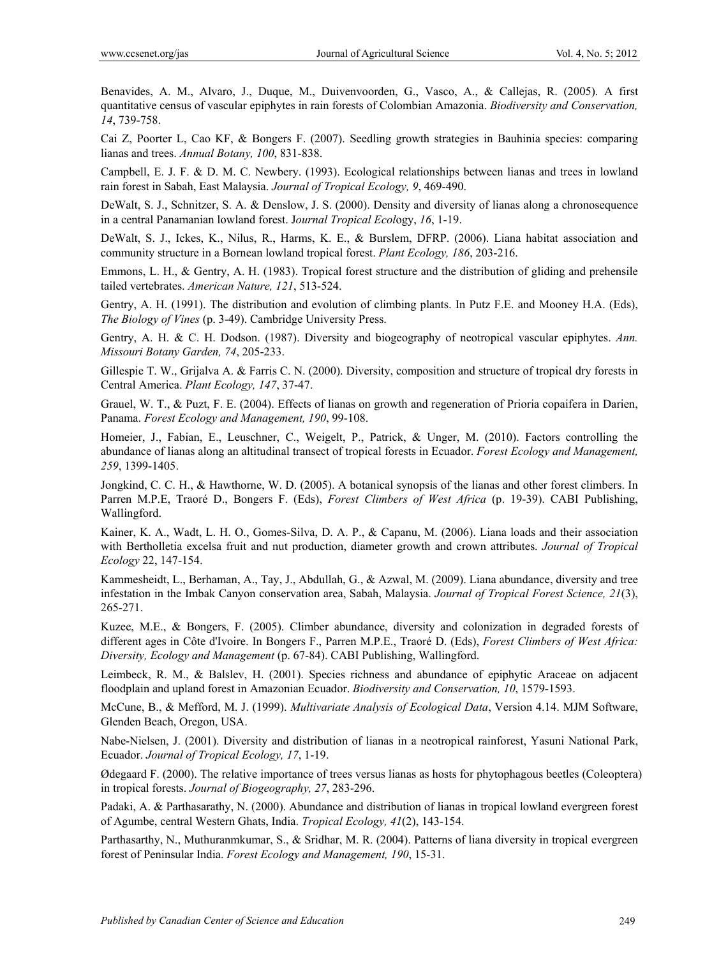Benavides, A. M., Alvaro, J., Duque, M., Duivenvoorden, G., Vasco, A., & Callejas, R. (2005). A first quantitative census of vascular epiphytes in rain forests of Colombian Amazonia. *Biodiversity and Conservation, 14*, 739-758.

Cai Z, Poorter L, Cao KF, & Bongers F. (2007). Seedling growth strategies in Bauhinia species: comparing lianas and trees. *Annual Botany, 100*, 831-838.

Campbell, E. J. F. & D. M. C. Newbery. (1993). Ecological relationships between lianas and trees in lowland rain forest in Sabah, East Malaysia. *Journal of Tropical Ecology, 9*, 469-490.

DeWalt, S. J., Schnitzer, S. A. & Denslow, J. S. (2000). Density and diversity of lianas along a chronosequence in a central Panamanian lowland forest. J*ournal Tropical Ecol*ogy, *16*, 1-19.

DeWalt, S. J., Ickes, K., Nilus, R., Harms, K. E., & Burslem, DFRP. (2006). Liana habitat association and community structure in a Bornean lowland tropical forest. *Plant Ecology, 186*, 203-216.

Emmons, L. H., & Gentry, A. H. (1983). Tropical forest structure and the distribution of gliding and prehensile tailed vertebrates. *American Nature, 121*, 513-524.

Gentry, A. H. (1991). The distribution and evolution of climbing plants. In Putz F.E. and Mooney H.A. (Eds), *The Biology of Vines* (p. 3-49). Cambridge University Press.

Gentry, A. H. & C. H. Dodson. (1987). Diversity and biogeography of neotropical vascular epiphytes. *Ann. Missouri Botany Garden, 74*, 205-233.

Gillespie T. W., Grijalva A. & Farris C. N. (2000). Diversity, composition and structure of tropical dry forests in Central America. *Plant Ecology, 147*, 37-47.

Grauel, W. T., & Puzt, F. E. (2004). Effects of lianas on growth and regeneration of Prioria copaifera in Darien, Panama. *Forest Ecology and Management, 190*, 99-108.

Homeier, J., Fabian, E., Leuschner, C., Weigelt, P., Patrick, & Unger, M. (2010). Factors controlling the abundance of lianas along an altitudinal transect of tropical forests in Ecuador. *Forest Ecology and Management, 259*, 1399-1405.

Jongkind, C. C. H., & Hawthorne, W. D. (2005). A botanical synopsis of the lianas and other forest climbers. In Parren M.P.E, Traoré D., Bongers F. (Eds), *Forest Climbers of West Africa* (p. 19-39). CABI Publishing, Wallingford.

Kainer, K. A., Wadt, L. H. O., Gomes-Silva, D. A. P., & Capanu, M. (2006). Liana loads and their association with Bertholletia excelsa fruit and nut production, diameter growth and crown attributes. *Journal of Tropical Ecology* 22, 147-154.

Kammesheidt, L., Berhaman, A., Tay, J., Abdullah, G., & Azwal, M. (2009). Liana abundance, diversity and tree infestation in the Imbak Canyon conservation area, Sabah, Malaysia. *Journal of Tropical Forest Science, 21*(3), 265-271.

Kuzee, M.E., & Bongers, F. (2005). Climber abundance, diversity and colonization in degraded forests of different ages in Côte d'Ivoire. In Bongers F., Parren M.P.E., Traoré D. (Eds), *Forest Climbers of West Africa: Diversity, Ecology and Management* (p. 67-84). CABI Publishing, Wallingford.

Leimbeck, R. M., & Balslev, H. (2001). Species richness and abundance of epiphytic Araceae on adjacent floodplain and upland forest in Amazonian Ecuador. *Biodiversity and Conservation, 10*, 1579-1593.

McCune, B., & Mefford, M. J. (1999). *Multivariate Analysis of Ecological Data*, Version 4.14. MJM Software, Glenden Beach, Oregon, USA.

Nabe-Nielsen, J. (2001). Diversity and distribution of lianas in a neotropical rainforest, Yasuni National Park, Ecuador. *Journal of Tropical Ecology, 17*, 1-19.

Ødegaard F. (2000). The relative importance of trees versus lianas as hosts for phytophagous beetles (Coleoptera) in tropical forests. *Journal of Biogeography, 27*, 283-296.

Padaki, A. & Parthasarathy, N. (2000). Abundance and distribution of lianas in tropical lowland evergreen forest of Agumbe, central Western Ghats, India. *Tropical Ecology, 41*(2), 143-154.

Parthasarthy, N., Muthuranmkumar, S., & Sridhar, M. R. (2004). Patterns of liana diversity in tropical evergreen forest of Peninsular India. *Forest Ecology and Management, 190*, 15-31.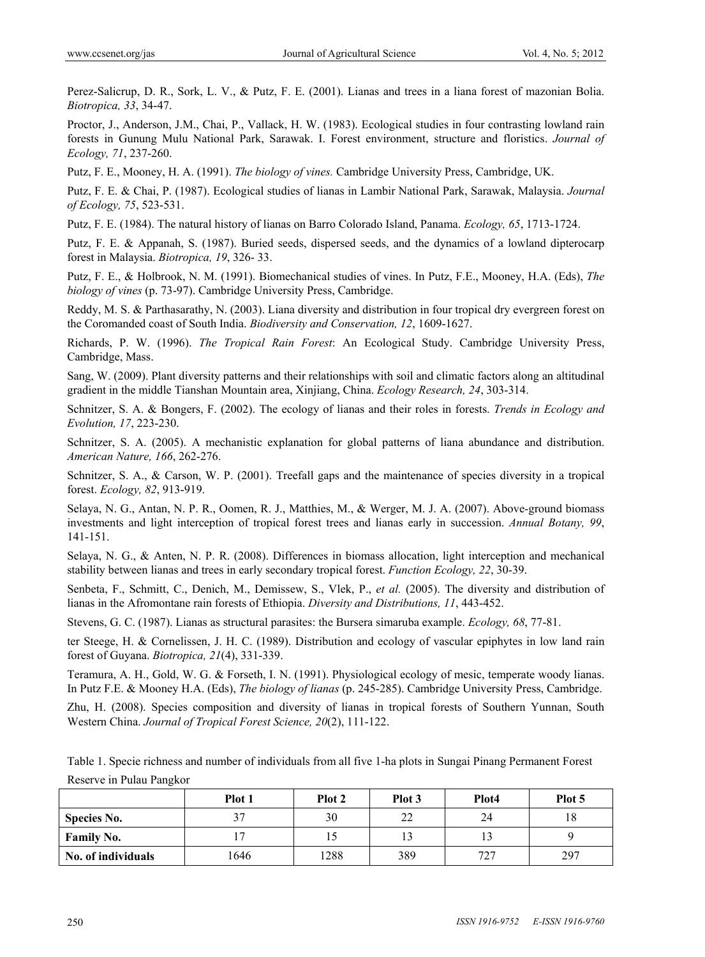Perez-Salicrup, D. R., Sork, L. V., & Putz, F. E. (2001). Lianas and trees in a liana forest of mazonian Bolia. *Biotropica, 33*, 34-47.

Proctor, J., Anderson, J.M., Chai, P., Vallack, H. W. (1983). Ecological studies in four contrasting lowland rain forests in Gunung Mulu National Park, Sarawak. I. Forest environment, structure and floristics. *Journal of Ecology, 71*, 237-260.

Putz, F. E., Mooney, H. A. (1991). *The biology of vines.* Cambridge University Press, Cambridge, UK.

Putz, F. E. & Chai, P. (1987). Ecological studies of lianas in Lambir National Park, Sarawak, Malaysia. *Journal of Ecology, 75*, 523-531.

Putz, F. E. (1984). The natural history of lianas on Barro Colorado Island, Panama. *Ecology, 65*, 1713-1724.

Putz, F. E. & Appanah, S. (1987). Buried seeds, dispersed seeds, and the dynamics of a lowland dipterocarp forest in Malaysia. *Biotropica, 19*, 326- 33.

Putz, F. E., & Holbrook, N. M. (1991). Biomechanical studies of vines. In Putz, F.E., Mooney, H.A. (Eds), *The biology of vines* (p. 73-97). Cambridge University Press, Cambridge.

Reddy, M. S. & Parthasarathy, N. (2003). Liana diversity and distribution in four tropical dry evergreen forest on the Coromanded coast of South India. *Biodiversity and Conservation, 12*, 1609-1627.

Richards, P. W. (1996). *The Tropical Rain Forest*: An Ecological Study. Cambridge University Press, Cambridge, Mass.

Sang, W. (2009). Plant diversity patterns and their relationships with soil and climatic factors along an altitudinal gradient in the middle Tianshan Mountain area, Xinjiang, China. *Ecology Research, 24*, 303-314.

Schnitzer, S. A. & Bongers, F. (2002). The ecology of lianas and their roles in forests. *Trends in Ecology and Evolution, 17*, 223-230.

Schnitzer, S. A. (2005). A mechanistic explanation for global patterns of liana abundance and distribution. *American Nature, 166*, 262-276.

Schnitzer, S. A., & Carson, W. P. (2001). Treefall gaps and the maintenance of species diversity in a tropical forest. *Ecology, 82*, 913-919.

Selaya, N. G., Antan, N. P. R., Oomen, R. J., Matthies, M., & Werger, M. J. A. (2007). Above-ground biomass investments and light interception of tropical forest trees and lianas early in succession. *Annual Botany, 99*, 141-151.

Selaya, N. G., & Anten, N. P. R. (2008). Differences in biomass allocation, light interception and mechanical stability between lianas and trees in early secondary tropical forest. *Function Ecology, 22*, 30-39.

Senbeta, F., Schmitt, C., Denich, M., Demissew, S., Vlek, P., *et al.* (2005). The diversity and distribution of lianas in the Afromontane rain forests of Ethiopia. *Diversity and Distributions, 11*, 443-452.

Stevens, G. C. (1987). Lianas as structural parasites: the Bursera simaruba example. *Ecology, 68*, 77-81.

ter Steege, H. & Cornelissen, J. H. C. (1989). Distribution and ecology of vascular epiphytes in low land rain forest of Guyana. *Biotropica, 21*(4), 331-339.

Teramura, A. H., Gold, W. G. & Forseth, I. N. (1991). Physiological ecology of mesic, temperate woody lianas. In Putz F.E. & Mooney H.A. (Eds), *The biology of lianas* (p. 245-285). Cambridge University Press, Cambridge.

Zhu, H. (2008). Species composition and diversity of lianas in tropical forests of Southern Yunnan, South Western China. *Journal of Tropical Forest Science, 20*(2), 111-122.

Table 1. Specie richness and number of individuals from all five 1-ha plots in Sungai Pinang Permanent Forest Reserve in Pulau Pangkor

|                    | Plot 1 | Plot 2 | Plot 3 | Plot4 | Plot 5 |
|--------------------|--------|--------|--------|-------|--------|
| <b>Species No.</b> | 37     | 30     | 22     | 24    | 18     |
| <b>Family No.</b>  |        |        |        |       |        |
| No. of individuals | 1646   | 1288   | 389    | 727   | 297    |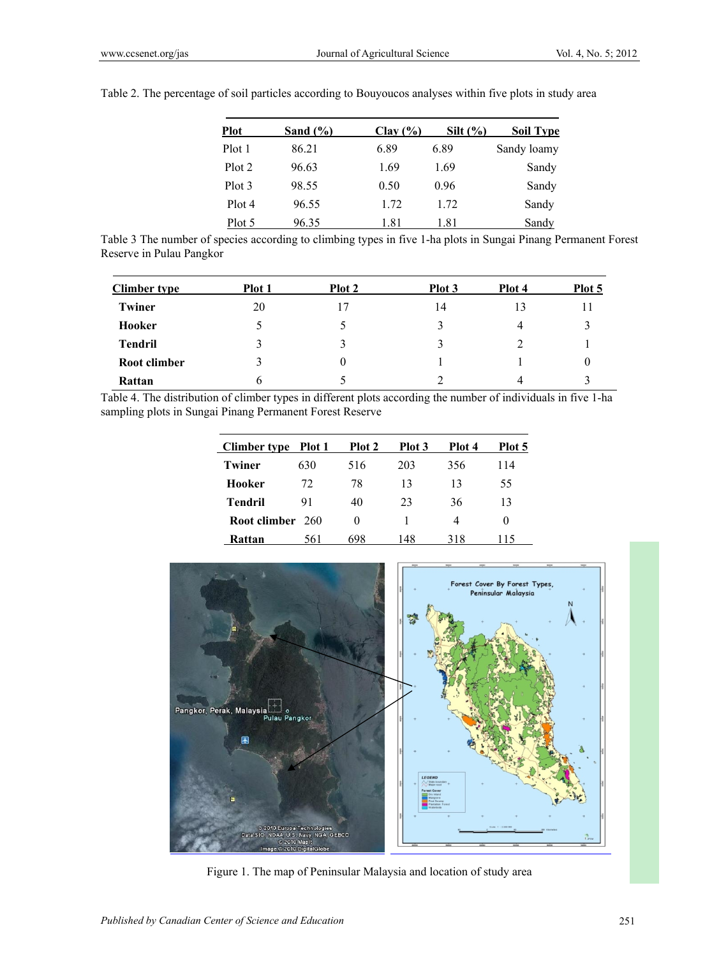| <b>Plot</b>       | Sand $(\% )$ | Clav(%) | Silt $(\% )$ | <b>Soil Type</b> |
|-------------------|--------------|---------|--------------|------------------|
| Plot 1            | 86 21        | 6.89    | 689          | Sandy loamy      |
| Plot <sub>2</sub> | 96.63        | 1.69    | 1.69         | Sandy            |
| Plot 3            | 98.55        | 0.50    | 0.96         | Sandy            |
| Plot 4            | 96.55        | 1.72    | 1.72         | Sandy            |
| Plot 5            | 9635         | 1.81    | 1.81         | Sandy            |

Table 2. The percentage of soil particles according to Bouyoucos analyses within five plots in study area

Table 3 The number of species according to climbing types in five 1-ha plots in Sungai Pinang Permanent Forest Reserve in Pulau Pangkor

| <b>Climber type</b> | <b>Plot</b> 1 | Plot 2 | Plot 3 | Plot 4        | Plot 5 |
|---------------------|---------------|--------|--------|---------------|--------|
| Twiner              | 20            | 17     | 14     | 13            |        |
| Hooker              | C             |        | 3      | 4             |        |
| <b>Tendril</b>      | 3             |        | 3      | $\mathcal{D}$ |        |
| Root climber        | 3             | 0      |        |               | U      |
| Rattan              | 6             |        | ∍      |               |        |

Table 4. The distribution of climber types in different plots according the number of individuals in five 1-ha sampling plots in Sungai Pinang Permanent Forest Reserve

| <b>Climber type</b> | Plot 1 | Plot 2   | Plot 3 | Plot 4 | Plot 5   |
|---------------------|--------|----------|--------|--------|----------|
| Twiner              | 630    | 516      | 203    | 356    | 114      |
| Hooker              | 72     | 78       | 13     | 13     | 55       |
| Tendril             | 91     | 40       | 23     | 36     | 13       |
| Root climber 260    |        | $\theta$ |        | 4      | $\theta$ |
| Rattan              | 561    | 698      | 148    | 318    | 115      |



Figure 1. The map of Peninsular Malaysia and location of study area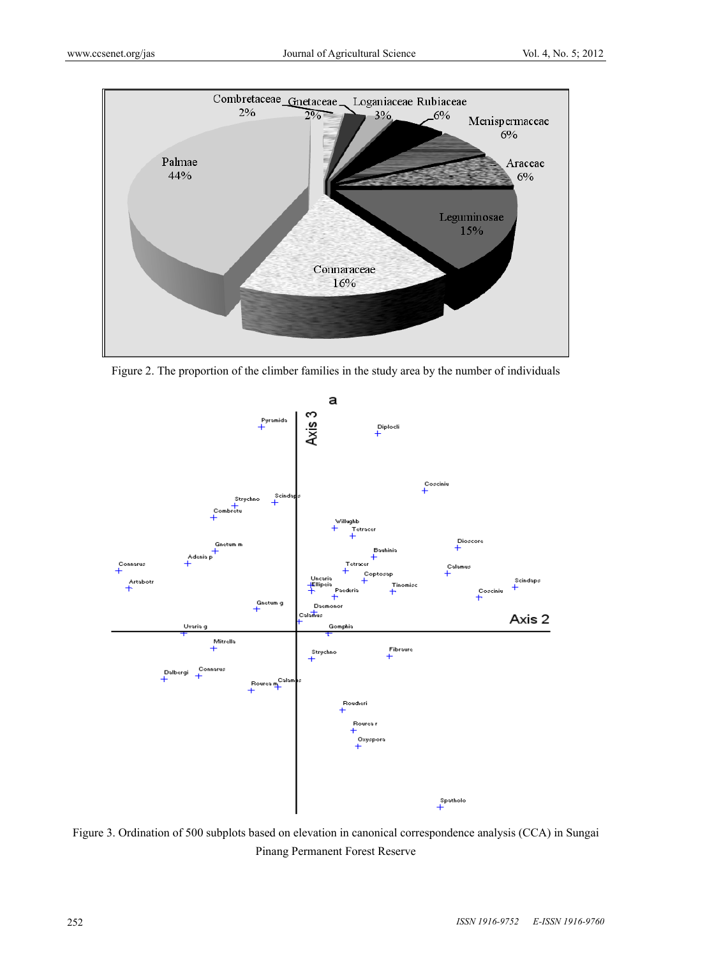

Figure 2. The proportion of the climber families in the study area by the number of individuals



Figure 3. Ordination of 500 subplots based on elevation in canonical correspondence analysis (CCA) in Sungai Pinang Permanent Forest Reserve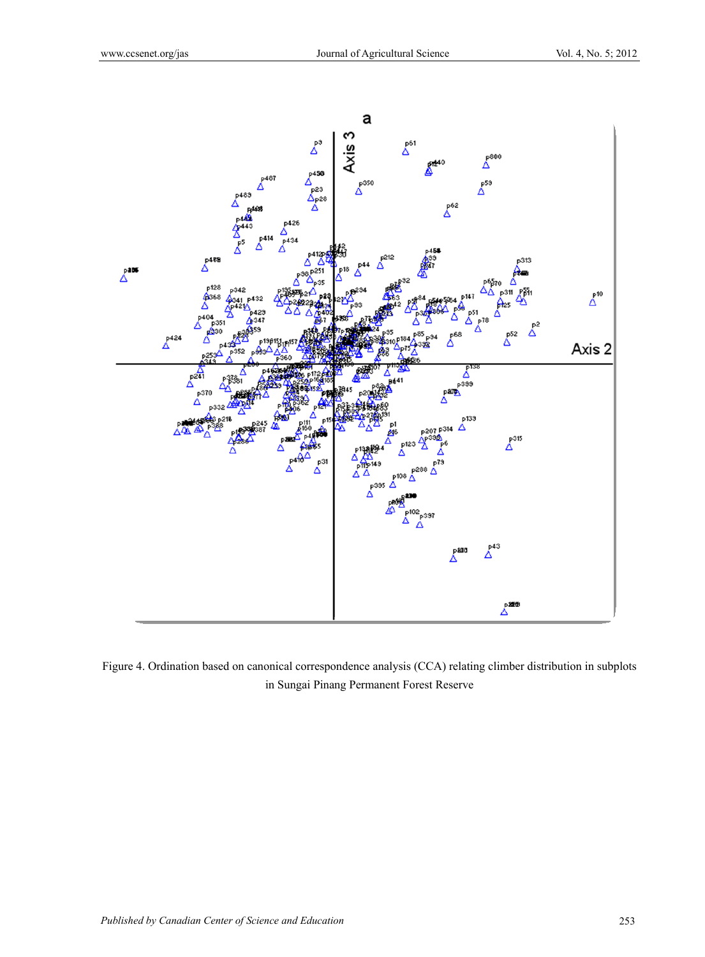

Figure 4. Ordination based on canonical correspondence analysis (CCA) relating climber distribution in subplots in Sungai Pinang Permanent Forest Reserve